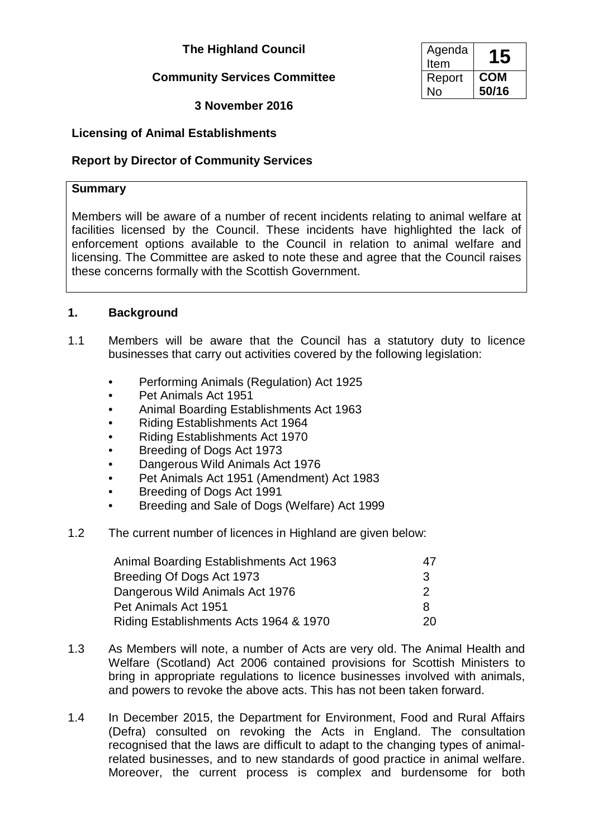## **The Highland Council**

# **Community Services Committee**

**3 November 2016**

# **Licensing of Animal Establishments**

# **Report by Director of Community Services**

### **Summary**

Members will be aware of a number of recent incidents relating to animal welfare at facilities licensed by the Council. These incidents have highlighted the lack of enforcement options available to the Council in relation to animal welfare and licensing. The Committee are asked to note these and agree that the Council raises these concerns formally with the Scottish Government.

## **1. Background**

- 1.1 Members will be aware that the Council has a statutory duty to licence businesses that carry out activities covered by the following legislation:
	- Performing Animals (Regulation) Act 1925
	- Pet Animals Act 1951
	- Animal Boarding Establishments Act 1963
	- Riding Establishments Act 1964
	- Riding Establishments Act 1970
	- Breeding of Dogs Act 1973
	- Dangerous Wild Animals Act 1976
	- Pet Animals Act 1951 (Amendment) Act 1983
	- Breeding of Dogs Act 1991
	- Breeding and Sale of Dogs (Welfare) Act 1999
- 1.2 The current number of licences in Highland are given below:

| Animal Boarding Establishments Act 1963 | 47. |
|-----------------------------------------|-----|
| Breeding Of Dogs Act 1973               | 3   |
| Dangerous Wild Animals Act 1976         | 2   |
| Pet Animals Act 1951                    | 8   |
| Riding Establishments Acts 1964 & 1970  | 20. |

- 1.3 As Members will note, a number of Acts are very old. The Animal Health and Welfare (Scotland) Act 2006 contained provisions for Scottish Ministers to bring in appropriate regulations to licence businesses involved with animals, and powers to revoke the above acts. This has not been taken forward.
- 1.4 In December 2015, the Department for Environment, Food and Rural Affairs (Defra) consulted on revoking the Acts in England. The consultation recognised that the laws are difficult to adapt to the changing types of animalrelated businesses, and to new standards of good practice in animal welfare. Moreover, the current process is complex and burdensome for both

| Agenda<br>Item | 15         |
|----------------|------------|
| Report         | <b>COM</b> |
| Nο             | 50/16      |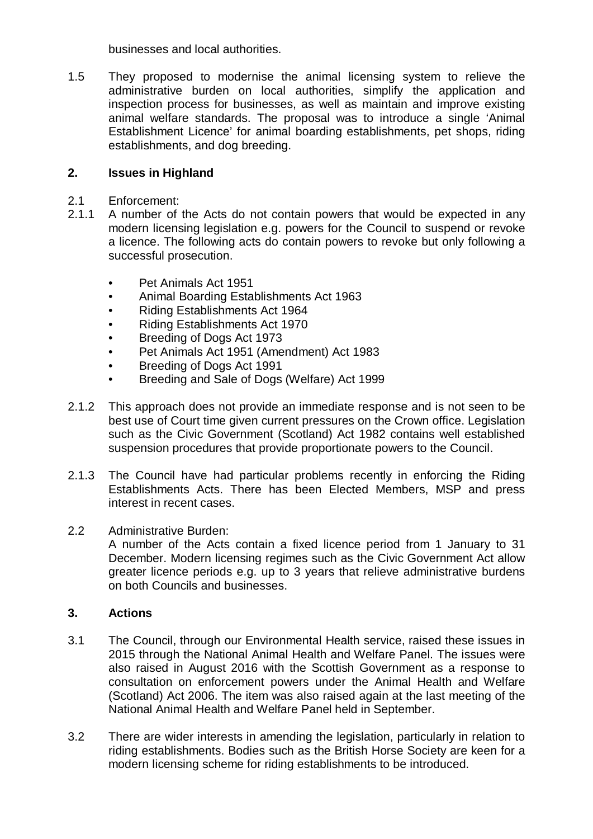businesses and local authorities.

1.5 They proposed to modernise the animal licensing system to relieve the administrative burden on local authorities, simplify the application and inspection process for businesses, as well as maintain and improve existing animal welfare standards. The proposal was to introduce a single 'Animal Establishment Licence' for animal boarding establishments, pet shops, riding establishments, and dog breeding.

### **2. Issues in Highland**

- 2.1 Enforcement:
- 2.1.1 A number of the Acts do not contain powers that would be expected in any modern licensing legislation e.g. powers for the Council to suspend or revoke a licence. The following acts do contain powers to revoke but only following a successful prosecution.
	- Pet Animals Act 1951
	- Animal Boarding Establishments Act 1963
	- Riding Establishments Act 1964
	- Riding Establishments Act 1970
	- Breeding of Dogs Act 1973
	- Pet Animals Act 1951 (Amendment) Act 1983
	- Breeding of Dogs Act 1991
	- Breeding and Sale of Dogs (Welfare) Act 1999
- 2.1.2 This approach does not provide an immediate response and is not seen to be best use of Court time given current pressures on the Crown office. Legislation such as the Civic Government (Scotland) Act 1982 contains well established suspension procedures that provide proportionate powers to the Council.
- 2.1.3 The Council have had particular problems recently in enforcing the Riding Establishments Acts. There has been Elected Members, MSP and press interest in recent cases.
- 2.2 Administrative Burden:

A number of the Acts contain a fixed licence period from 1 January to 31 December. Modern licensing regimes such as the Civic Government Act allow greater licence periods e.g. up to 3 years that relieve administrative burdens on both Councils and businesses.

#### **3. Actions**

- 3.1 The Council, through our Environmental Health service, raised these issues in 2015 through the National Animal Health and Welfare Panel. The issues were also raised in August 2016 with the Scottish Government as a response to consultation on enforcement powers under the Animal Health and Welfare (Scotland) Act 2006. The item was also raised again at the last meeting of the National Animal Health and Welfare Panel held in September.
- 3.2 There are wider interests in amending the legislation, particularly in relation to riding establishments. Bodies such as the British Horse Society are keen for a modern licensing scheme for riding establishments to be introduced.